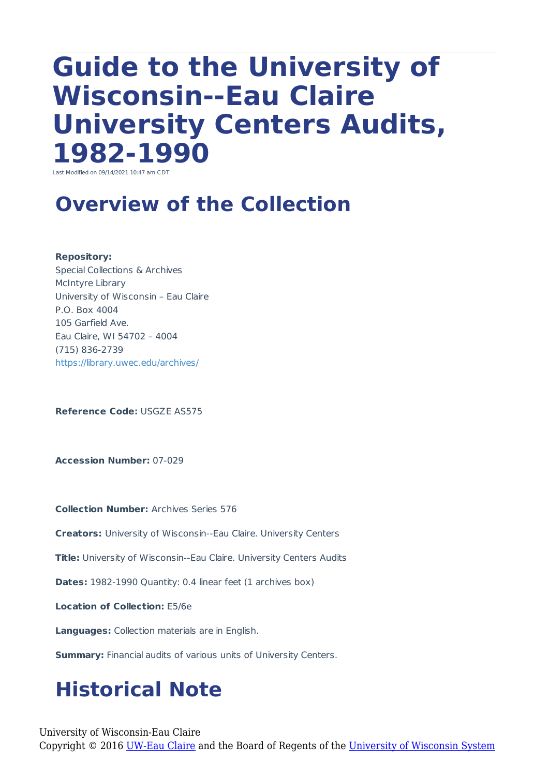# **Guide to the University of Wisconsin--Eau Claire University Centers Audits, 1982-1990**

Last Modified on 09/14/2021 10:47 am CDT

### **Overview of the Collection**

**Repository:**

Special Collections & Archives McIntyre Library University of Wisconsin – Eau Claire P.O. Box 4004 105 Garfield Ave. Eau Claire, WI 54702 – 4004 (715) 836-2739 https://library.uwec.edu/archives/

**Reference Code:** USGZE AS575

**Accession Number:** 07-029

**Collection Number:** Archives Series 576

**Creators:** University of Wisconsin--Eau Claire. University Centers

**Title:** University of Wisconsin--Eau Claire. University Centers Audits

**Dates:** 1982-1990 Quantity: 0.4 linear feet (1 archives box)

**Location of Collection:** E5/6e

**Languages:** Collection materials are in English.

**Summary:** Financial audits of various units of University Centers.

## **Historical Note**

University of Wisconsin-Eau Claire Copyright © 2016 [UW-Eau Claire](http://www.uwec.edu) and the Board of Regents of the [University of Wisconsin System](http://www.uwsa.edu/)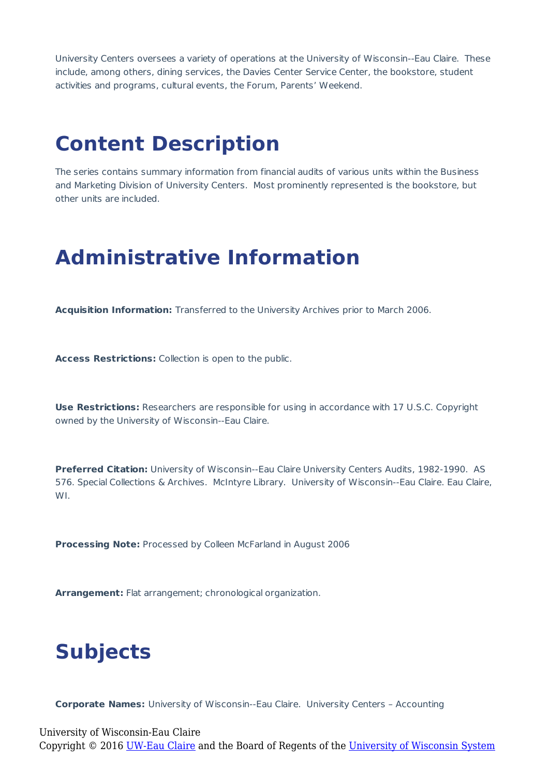University Centers oversees a variety of operations at the University of Wisconsin--Eau Claire. These include, among others, dining services, the Davies Center Service Center, the bookstore, student activities and programs, cultural events, the Forum, Parents' Weekend.

#### **Content Description**

The series contains summary information from financial audits of various units within the Business and Marketing Division of University Centers. Most prominently represented is the bookstore, but other units are included.

#### **Administrative Information**

**Acquisition Information:** Transferred to the University Archives prior to March 2006.

**Access Restrictions:** Collection is open to the public.

**Use Restrictions:** Researchers are responsible for using in accordance with 17 U.S.C. Copyright owned by the University of Wisconsin--Eau Claire.

**Preferred Citation:** University of Wisconsin--Eau Claire University Centers Audits, 1982-1990. AS 576. Special Collections & Archives. McIntyre Library. University of Wisconsin--Eau Claire. Eau Claire, WI.

**Processing Note:** Processed by Colleen McFarland in August 2006

**Arrangement:** Flat arrangement; chronological organization.

#### **Subjects**

**Corporate Names:** University of Wisconsin--Eau Claire. University Centers – Accounting

University of Wisconsin-Eau Claire Copyright © 2016 [UW-Eau Claire](http://www.uwec.edu) and the Board of Regents of the [University of Wisconsin System](http://www.uwsa.edu/)